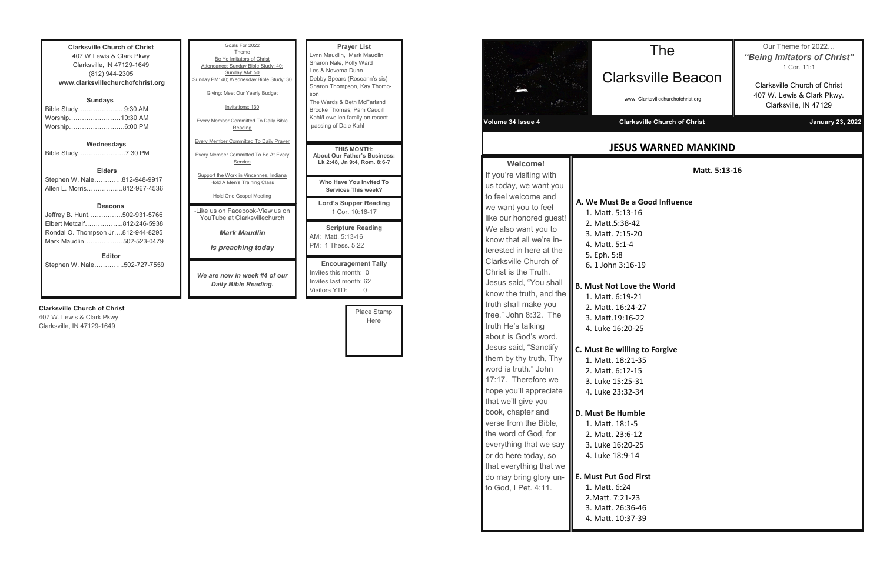| <b>Clarksville Church of Christ</b> |  |  |  |
|-------------------------------------|--|--|--|
| 407 W Lewis & Clark Pkwy            |  |  |  |
| Clarksville, IN 47129-1649          |  |  |  |
| (812) 944-2305                      |  |  |  |
| www.clarksvillechurchofchrist.org   |  |  |  |
| <b>Sundays</b>                      |  |  |  |
| Bible Study 9:30 AM                 |  |  |  |
| Worship10:30 AM                     |  |  |  |
| Worship6:00 PM                      |  |  |  |
|                                     |  |  |  |
| Wednesdays                          |  |  |  |
| Bible Study7:30 PM                  |  |  |  |
|                                     |  |  |  |
| <b>Elders</b>                       |  |  |  |
| Stephen W. Nale812-948-9917         |  |  |  |
| Allen L. Morris…………….812-967-4536   |  |  |  |
|                                     |  |  |  |
| <b>Deacons</b>                      |  |  |  |
| Jeffrey B. Hunt502-931-5766         |  |  |  |
| Elbert Metcalf812-246-5938          |  |  |  |
| Rondal O. Thompson Jr812-944-8295   |  |  |  |
| Mark Maudlin502-523-0479            |  |  |  |
|                                     |  |  |  |
| <b>Editor</b>                       |  |  |  |
| Stephen W. Nale………….502-727-7559    |  |  |  |
|                                     |  |  |  |
|                                     |  |  |  |

#### **Clarksville Church of Christ**

407 W. Lewis & Clark Pkwy Clarksville, IN 47129-1649

| Goals For 2022<br>Theme<br>Be Ye Imitators of Christ<br>Attendance: Sunday Bible Study: 40;<br>Sunday AM: 50<br>Sunday PM: 40; Wednesday Bible Study: 30<br>Giving: Meet Our Yearly Budget<br>Invitations: 130<br><b>Every Member Committed To Daily Bible</b><br>Reading<br><b>Every Member Committed To Daily Prayer</b> | <b>Prayer List</b><br>Lynn Maudlin, Mark Maudlin<br>Sharon Nale, Polly Ward<br>Les & Novema Dunn<br>Debby Spears (Roseann's sis)<br>Sharon Thompson, Kay Thomp-<br>son<br>The Wards & Beth McFarland<br>Brooke Thomas, Pam Caudill<br>Kahl/Lewellen family on recent<br>passing of Dale Kahl |
|----------------------------------------------------------------------------------------------------------------------------------------------------------------------------------------------------------------------------------------------------------------------------------------------------------------------------|----------------------------------------------------------------------------------------------------------------------------------------------------------------------------------------------------------------------------------------------------------------------------------------------|
| <b>Every Member Committed To Be At Every</b><br>Service                                                                                                                                                                                                                                                                    | <b>THIS MONTH:</b><br><b>About Our Father's Business:</b><br>Lk 2:48, Jn 9:4, Rom. 8:6-7                                                                                                                                                                                                     |
| Support the Work in Vincennes, Indiana<br>Hold A Men's Training Class<br>Hold One Gospel Meeting                                                                                                                                                                                                                           | Who Have You Invited To<br><b>Services This week?</b>                                                                                                                                                                                                                                        |
|                                                                                                                                                                                                                                                                                                                            | <b>Lord's Supper Reading</b>                                                                                                                                                                                                                                                                 |
| - like us on Facebook-View us on<br>YouTube at Clarksvillechurch                                                                                                                                                                                                                                                           | 1 Cor. 10:16-17                                                                                                                                                                                                                                                                              |
| <b>Mark Maudlin</b>                                                                                                                                                                                                                                                                                                        | <b>Scripture Reading</b><br>AM: Matt. 5:13-16                                                                                                                                                                                                                                                |
| is preaching today                                                                                                                                                                                                                                                                                                         | PM: 1 Thess, 5:22                                                                                                                                                                                                                                                                            |
| We are now in week #4 of our<br><b>Daily Bible Reading.</b>                                                                                                                                                                                                                                                                | <b>Encouragement Tally</b><br>Invites this month: 0<br>Invites last month: 62<br>Visitors YTD:<br>O                                                                                                                                                                                          |

| Place Stamp |  |
|-------------|--|
| Here        |  |
|             |  |
|             |  |
|             |  |

|                                                                                                                                                                                                                                                                                                                                                                                                                                                                                                                                                                                                        | Clarksvi                                                                                                                                                                                                                                                                                                                                                                                      |
|--------------------------------------------------------------------------------------------------------------------------------------------------------------------------------------------------------------------------------------------------------------------------------------------------------------------------------------------------------------------------------------------------------------------------------------------------------------------------------------------------------------------------------------------------------------------------------------------------------|-----------------------------------------------------------------------------------------------------------------------------------------------------------------------------------------------------------------------------------------------------------------------------------------------------------------------------------------------------------------------------------------------|
|                                                                                                                                                                                                                                                                                                                                                                                                                                                                                                                                                                                                        | www. Clarksy                                                                                                                                                                                                                                                                                                                                                                                  |
| Volume 34 Issue 4                                                                                                                                                                                                                                                                                                                                                                                                                                                                                                                                                                                      | <b>Clarksville</b>                                                                                                                                                                                                                                                                                                                                                                            |
|                                                                                                                                                                                                                                                                                                                                                                                                                                                                                                                                                                                                        | <b>JESUS WA</b>                                                                                                                                                                                                                                                                                                                                                                               |
| <b>Welcome!</b><br>If you're visiting with<br>us today, we want you<br>to feel welcome and<br>we want you to feel<br>like our honored guest!<br>We also want you to<br>know that all we're in-<br>terested in here at the<br>Clarksville Church of<br>Christ is the Truth.<br>Jesus said, "You shall<br>know the truth, and the<br>truth shall make you<br>free." John 8:32. The<br>truth He's talking<br>about is God's word.<br>Jesus said, "Sanctify<br>them by thy truth, Thy<br>word is truth." John<br>17:17. Therefore we<br>hope you'll appreciate<br>that we'll give you<br>book, chapter and | A. We Must Be a Good<br>1. Matt. 5:13-16<br>2. Matt.5:38-42<br>3. Matt. 7:15-20<br>4. Matt. 5:1-4<br>5. Eph. 5:8<br>6. 1 John 3:16-19<br><b>B. Must Not Love the</b><br>1. Matt. 6:19-21<br>2. Matt. 16:24-27<br>3. Matt.19:16-22<br>4. Luke 16:20-25<br>C. Must Be willing to F<br>1. Matt. 18:21-35<br>2. Matt. 6:12-15<br>3. Luke 15:25-31<br>4. Luke 23:32-34<br><b>D. Must Be Humble</b> |
| verse from the Bible,<br>the word of God, for<br>everything that we say<br>or do here today, so<br>that everything that we                                                                                                                                                                                                                                                                                                                                                                                                                                                                             | 1. Matt. 18:1-5<br>2. Matt. 23:6-12<br>3. Luke 16:20-25<br>4. Luke 18:9-14                                                                                                                                                                                                                                                                                                                    |
| do may bring glory un-<br>to God, I Pet. 4:11.                                                                                                                                                                                                                                                                                                                                                                                                                                                                                                                                                         | <b>E. Must Put God First</b><br>1. Matt. 6:24<br>2. Matt. 7:21-23<br>3. Matt. 26:36-46<br>4. Matt. 10:37-39                                                                                                                                                                                                                                                                                   |
|                                                                                                                                                                                                                                                                                                                                                                                                                                                                                                                                                                                                        |                                                                                                                                                                                                                                                                                                                                                                                               |

**Matt. 5:13-16**

**Good Influence** 

the World

**c** to Forgive

The

sville Beacon

Clarksvillechurchofchrist.org

**Ville Church of Christ** Charksville Church of Christ Christ Charksville Church January 23, 2022

Our Theme for 2022… *"Being Imitators of Christ"* 1 Cor. 11:1

Clarksville Church of Christ 407 W. Lewis & Clark Pkwy. Clarksville, IN 47129

### **WARNED MANKIND**